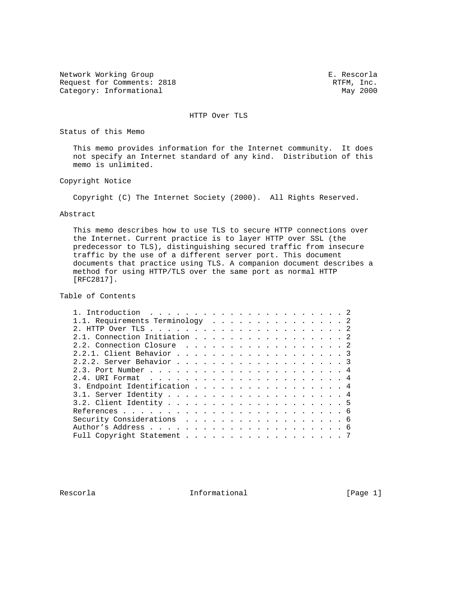Network Working Group<br>Request for Comments: 2818 The Secord Request for Comments: 2818 Request for Comments: 2818 RTFM, Inc.<br>
Category: Informational May 2000 Category: Informational

HTTP Over TLS

Status of this Memo

 This memo provides information for the Internet community. It does not specify an Internet standard of any kind. Distribution of this memo is unlimited.

Copyright Notice

Copyright (C) The Internet Society (2000). All Rights Reserved.

Abstract

 This memo describes how to use TLS to secure HTTP connections over the Internet. Current practice is to layer HTTP over SSL (the predecessor to TLS), distinguishing secured traffic from insecure traffic by the use of a different server port. This document documents that practice using TLS. A companion document describes a method for using HTTP/TLS over the same port as normal HTTP [RFC2817].

Table of Contents

| 1.1. Requirements Terminology 2 |  |
|---------------------------------|--|
|                                 |  |
| 2.1. Connection Initiation 2    |  |
| 2.2. Connection Closure 2       |  |
|                                 |  |
| 2.2.2. Server Behavior 3        |  |
|                                 |  |
|                                 |  |
| 3. Endpoint Identification 4    |  |
|                                 |  |
|                                 |  |
|                                 |  |
| Security Considerations 6       |  |
|                                 |  |
| Full Copyright Statement 7      |  |
|                                 |  |

Rescorla **Informational** Informational [Page 1]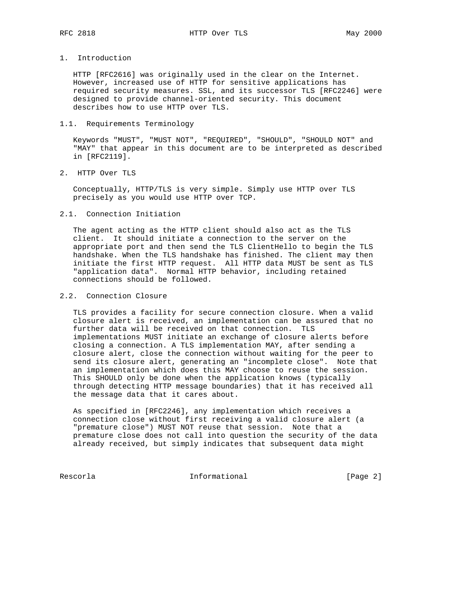## 1. Introduction

 HTTP [RFC2616] was originally used in the clear on the Internet. However, increased use of HTTP for sensitive applications has required security measures. SSL, and its successor TLS [RFC2246] were designed to provide channel-oriented security. This document describes how to use HTTP over TLS.

#### 1.1. Requirements Terminology

 Keywords "MUST", "MUST NOT", "REQUIRED", "SHOULD", "SHOULD NOT" and "MAY" that appear in this document are to be interpreted as described in [RFC2119].

### 2. HTTP Over TLS

 Conceptually, HTTP/TLS is very simple. Simply use HTTP over TLS precisely as you would use HTTP over TCP.

#### 2.1. Connection Initiation

 The agent acting as the HTTP client should also act as the TLS client. It should initiate a connection to the server on the appropriate port and then send the TLS ClientHello to begin the TLS handshake. When the TLS handshake has finished. The client may then initiate the first HTTP request. All HTTP data MUST be sent as TLS "application data". Normal HTTP behavior, including retained connections should be followed.

# 2.2. Connection Closure

 TLS provides a facility for secure connection closure. When a valid closure alert is received, an implementation can be assured that no further data will be received on that connection. TLS implementations MUST initiate an exchange of closure alerts before closing a connection. A TLS implementation MAY, after sending a closure alert, close the connection without waiting for the peer to send its closure alert, generating an "incomplete close". Note that an implementation which does this MAY choose to reuse the session. This SHOULD only be done when the application knows (typically through detecting HTTP message boundaries) that it has received all the message data that it cares about.

 As specified in [RFC2246], any implementation which receives a connection close without first receiving a valid closure alert (a "premature close") MUST NOT reuse that session. Note that a premature close does not call into question the security of the data already received, but simply indicates that subsequent data might

Rescorla **Informational** Informational [Page 2]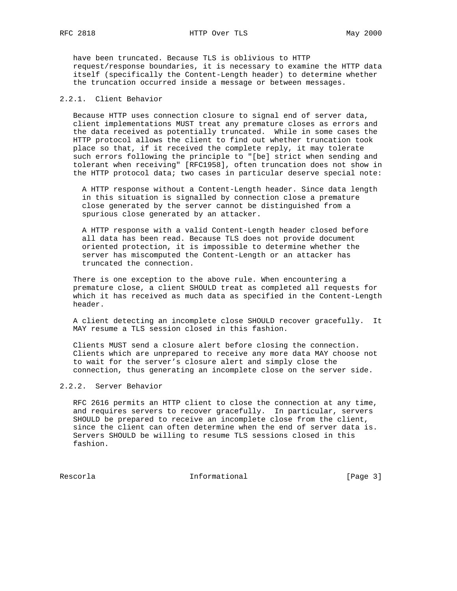have been truncated. Because TLS is oblivious to HTTP request/response boundaries, it is necessary to examine the HTTP data itself (specifically the Content-Length header) to determine whether the truncation occurred inside a message or between messages.

# 2.2.1. Client Behavior

 Because HTTP uses connection closure to signal end of server data, client implementations MUST treat any premature closes as errors and the data received as potentially truncated. While in some cases the HTTP protocol allows the client to find out whether truncation took place so that, if it received the complete reply, it may tolerate such errors following the principle to "[be] strict when sending and tolerant when receiving" [RFC1958], often truncation does not show in the HTTP protocol data; two cases in particular deserve special note:

 A HTTP response without a Content-Length header. Since data length in this situation is signalled by connection close a premature close generated by the server cannot be distinguished from a spurious close generated by an attacker.

 A HTTP response with a valid Content-Length header closed before all data has been read. Because TLS does not provide document oriented protection, it is impossible to determine whether the server has miscomputed the Content-Length or an attacker has truncated the connection.

 There is one exception to the above rule. When encountering a premature close, a client SHOULD treat as completed all requests for which it has received as much data as specified in the Content-Length header.

 A client detecting an incomplete close SHOULD recover gracefully. It MAY resume a TLS session closed in this fashion.

 Clients MUST send a closure alert before closing the connection. Clients which are unprepared to receive any more data MAY choose not to wait for the server's closure alert and simply close the connection, thus generating an incomplete close on the server side.

### 2.2.2. Server Behavior

 RFC 2616 permits an HTTP client to close the connection at any time, and requires servers to recover gracefully. In particular, servers SHOULD be prepared to receive an incomplete close from the client, since the client can often determine when the end of server data is. Servers SHOULD be willing to resume TLS sessions closed in this fashion.

Rescorla **Informational** Informational [Page 3]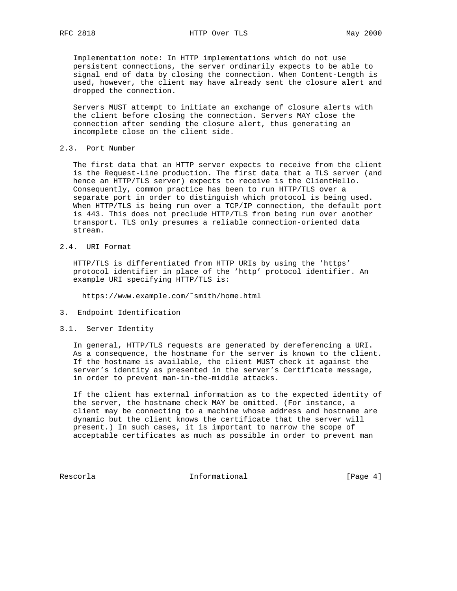Implementation note: In HTTP implementations which do not use persistent connections, the server ordinarily expects to be able to signal end of data by closing the connection. When Content-Length is used, however, the client may have already sent the closure alert and dropped the connection.

 Servers MUST attempt to initiate an exchange of closure alerts with the client before closing the connection. Servers MAY close the connection after sending the closure alert, thus generating an incomplete close on the client side.

### 2.3. Port Number

 The first data that an HTTP server expects to receive from the client is the Request-Line production. The first data that a TLS server (and hence an HTTP/TLS server) expects to receive is the ClientHello. Consequently, common practice has been to run HTTP/TLS over a separate port in order to distinguish which protocol is being used. When HTTP/TLS is being run over a TCP/IP connection, the default port is 443. This does not preclude HTTP/TLS from being run over another transport. TLS only presumes a reliable connection-oriented data stream.

# 2.4. URI Format

 HTTP/TLS is differentiated from HTTP URIs by using the 'https' protocol identifier in place of the 'http' protocol identifier. An example URI specifying HTTP/TLS is:

https://www.example.com/˜smith/home.html

- 3. Endpoint Identification
- 3.1. Server Identity

 In general, HTTP/TLS requests are generated by dereferencing a URI. As a consequence, the hostname for the server is known to the client. If the hostname is available, the client MUST check it against the server's identity as presented in the server's Certificate message, in order to prevent man-in-the-middle attacks.

 If the client has external information as to the expected identity of the server, the hostname check MAY be omitted. (For instance, a client may be connecting to a machine whose address and hostname are dynamic but the client knows the certificate that the server will present.) In such cases, it is important to narrow the scope of acceptable certificates as much as possible in order to prevent man

Rescorla **Informational** Informational [Page 4]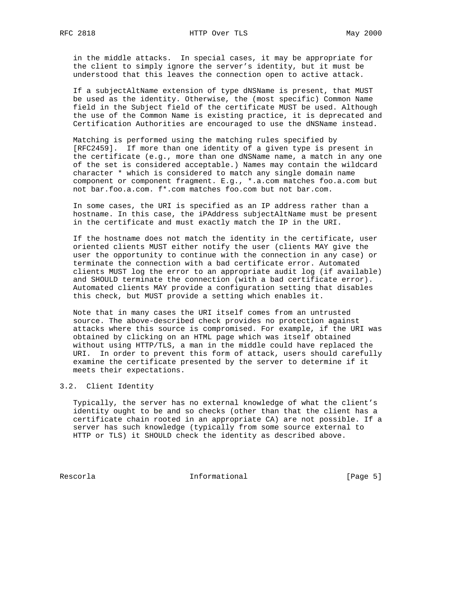in the middle attacks. In special cases, it may be appropriate for the client to simply ignore the server's identity, but it must be understood that this leaves the connection open to active attack.

 If a subjectAltName extension of type dNSName is present, that MUST be used as the identity. Otherwise, the (most specific) Common Name field in the Subject field of the certificate MUST be used. Although the use of the Common Name is existing practice, it is deprecated and Certification Authorities are encouraged to use the dNSName instead.

 Matching is performed using the matching rules specified by [RFC2459]. If more than one identity of a given type is present in the certificate (e.g., more than one dNSName name, a match in any one of the set is considered acceptable.) Names may contain the wildcard character \* which is considered to match any single domain name component or component fragment. E.g., \*.a.com matches foo.a.com but not bar.foo.a.com. f\*.com matches foo.com but not bar.com.

 In some cases, the URI is specified as an IP address rather than a hostname. In this case, the iPAddress subjectAltName must be present in the certificate and must exactly match the IP in the URI.

 If the hostname does not match the identity in the certificate, user oriented clients MUST either notify the user (clients MAY give the user the opportunity to continue with the connection in any case) or terminate the connection with a bad certificate error. Automated clients MUST log the error to an appropriate audit log (if available) and SHOULD terminate the connection (with a bad certificate error). Automated clients MAY provide a configuration setting that disables this check, but MUST provide a setting which enables it.

 Note that in many cases the URI itself comes from an untrusted source. The above-described check provides no protection against attacks where this source is compromised. For example, if the URI was obtained by clicking on an HTML page which was itself obtained without using HTTP/TLS, a man in the middle could have replaced the URI. In order to prevent this form of attack, users should carefully examine the certificate presented by the server to determine if it meets their expectations.

#### 3.2. Client Identity

 Typically, the server has no external knowledge of what the client's identity ought to be and so checks (other than that the client has a certificate chain rooted in an appropriate CA) are not possible. If a server has such knowledge (typically from some source external to HTTP or TLS) it SHOULD check the identity as described above.

Rescorla **Informational** Informational [Page 5]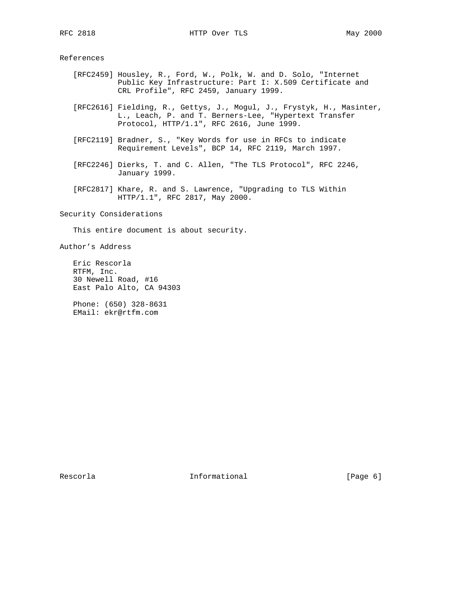#### References

- [RFC2459] Housley, R., Ford, W., Polk, W. and D. Solo, "Internet Public Key Infrastructure: Part I: X.509 Certificate and CRL Profile", RFC 2459, January 1999.
- [RFC2616] Fielding, R., Gettys, J., Mogul, J., Frystyk, H., Masinter, L., Leach, P. and T. Berners-Lee, "Hypertext Transfer Protocol, HTTP/1.1", RFC 2616, June 1999.
- [RFC2119] Bradner, S., "Key Words for use in RFCs to indicate Requirement Levels", BCP 14, RFC 2119, March 1997.
- [RFC2246] Dierks, T. and C. Allen, "The TLS Protocol", RFC 2246, January 1999.
- [RFC2817] Khare, R. and S. Lawrence, "Upgrading to TLS Within HTTP/1.1", RFC 2817, May 2000.

Security Considerations

This entire document is about security.

Author's Address

 Eric Rescorla RTFM, Inc. 30 Newell Road, #16 East Palo Alto, CA 94303

 Phone: (650) 328-8631 EMail: ekr@rtfm.com

Rescorla **Informational** Informational [Page 6]